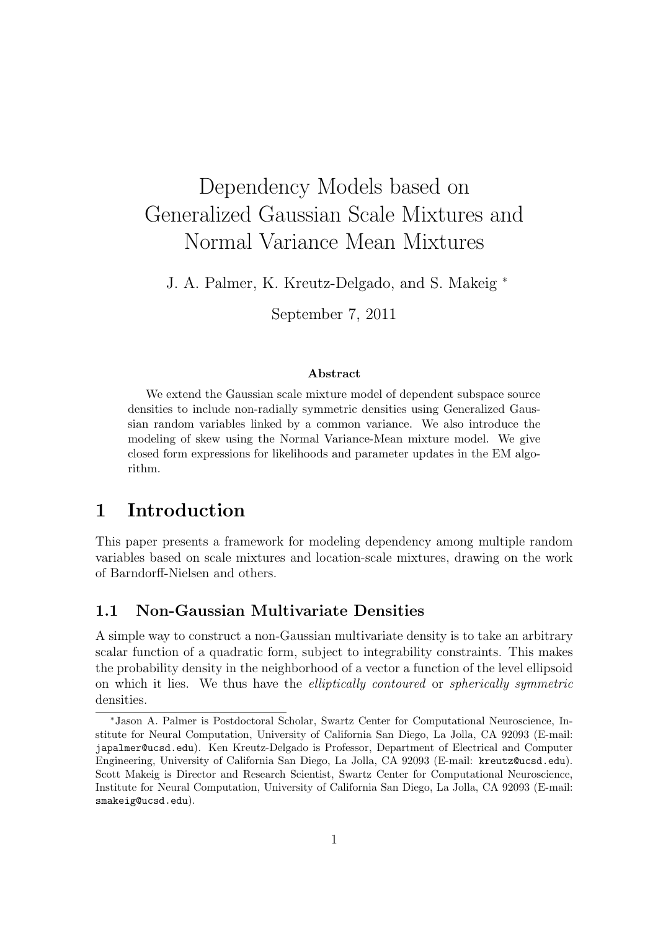# Dependency Models based on Generalized Gaussian Scale Mixtures and Normal Variance Mean Mixtures

J. A. Palmer, K. Kreutz-Delgado, and S. Makeig *<sup>∗</sup>*

September 7, 2011

#### **Abstract**

We extend the Gaussian scale mixture model of dependent subspace source densities to include non-radially symmetric densities using Generalized Gaussian random variables linked by a common variance. We also introduce the modeling of skew using the Normal Variance-Mean mixture model. We give closed form expressions for likelihoods and parameter updates in the EM algorithm.

# **1 Introduction**

This paper presents a framework for modeling dependency among multiple random variables based on scale mixtures and location-scale mixtures, drawing on the work of Barndorff-Nielsen and others.

## **1.1 Non-Gaussian Multivariate Densities**

A simple way to construct a non-Gaussian multivariate density is to take an arbitrary scalar function of a quadratic form, subject to integrability constraints. This makes the probability density in the neighborhood of a vector a function of the level ellipsoid on which it lies. We thus have the *elliptically contoured* or *spherically symmetric* densities.

*<sup>∗</sup>*Jason A. Palmer is Postdoctoral Scholar, Swartz Center for Computational Neuroscience, Institute for Neural Computation, University of California San Diego, La Jolla, CA 92093 (E-mail: japalmer@ucsd.edu). Ken Kreutz-Delgado is Professor, Department of Electrical and Computer Engineering, University of California San Diego, La Jolla, CA 92093 (E-mail: kreutz@ucsd.edu). Scott Makeig is Director and Research Scientist, Swartz Center for Computational Neuroscience, Institute for Neural Computation, University of California San Diego, La Jolla, CA 92093 (E-mail: smakeig@ucsd.edu).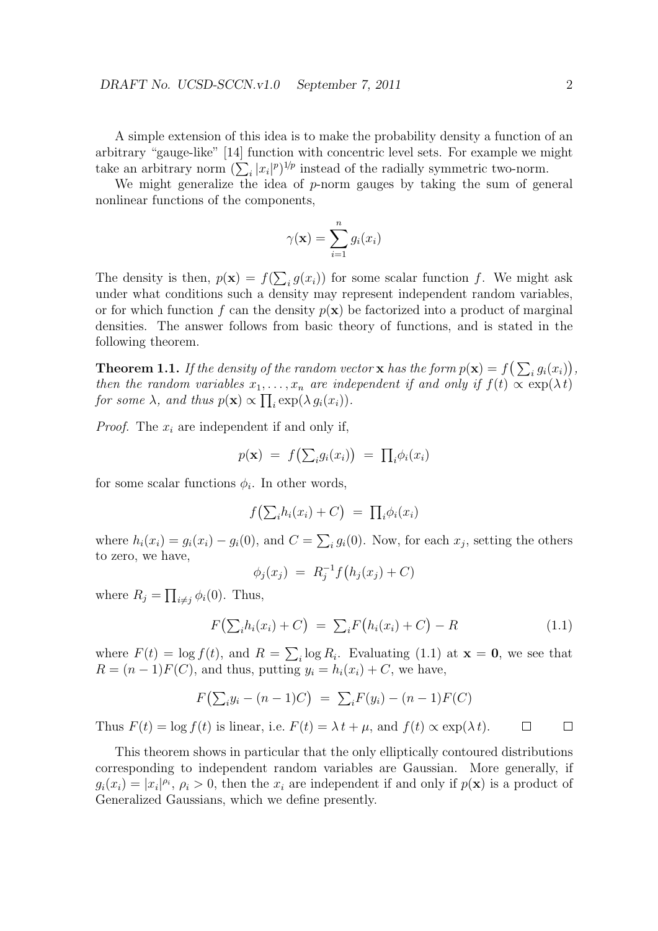A simple extension of this idea is to make the probability density a function of an arbitrary "gauge-like" [14] function with concentric level sets. For example we might take an arbitrary norm  $(\sum_i |x_i|^p)^{1/p}$  instead of the radially symmetric two-norm.

We might generalize the idea of *p*-norm gauges by taking the sum of general nonlinear functions of the components,

$$
\gamma(\mathbf{x}) = \sum_{i=1}^{n} g_i(x_i)
$$

The density is then,  $p(\mathbf{x}) = f(\sum_i g(x_i))$  for some scalar function *f*. We might ask under what conditions such a density may represent independent random variables, or for which function f can the density  $p(x)$  be factorized into a product of marginal densities. The answer follows from basic theory of functions, and is stated in the following theorem.

**Theorem 1.1.** *If the density of the random vector* **x** *has the form*  $p(\mathbf{x}) = f\left(\sum_i g_i(x_i)\right)$ , *then the random variables*  $x_1, \ldots, x_n$  *are independent if and only if*  $f(t) \propto \exp(\lambda t)$ *for some*  $\lambda$ *, and thus*  $p(\mathbf{x}) \propto \prod_i \exp(\lambda g_i(x_i))$ *.* 

*Proof.* The *x<sup>i</sup>* are independent if and only if,

$$
p(\mathbf{x}) = f\big(\sum_i g_i(x_i)\big) = \prod_i \phi_i(x_i)
$$

for some scalar functions  $\phi_i$ . In other words,

$$
f\big(\sum_i h_i(x_i) + C\big) = \prod_i \phi_i(x_i)
$$

where  $h_i(x_i) = g_i(x_i) - g_i(0)$ , and  $C = \sum_i g_i(0)$ . Now, for each  $x_j$ , setting the others to zero, we have,

$$
\phi_j(x_j) \ = \ R_j^{-1} f\big(h_j(x_j) + C\big)
$$

where  $R_j = \prod_{i \neq j} \phi_i(0)$ . Thus,

$$
F(\sum_{i} h_i(x_i) + C) = \sum_{i} F(h_i(x_i) + C) - R
$$
\n(1.1)

where  $F(t) = \log f(t)$ , and  $R = \sum_i \log R_i$ . Evaluating (1.1) at  $\mathbf{x} = \mathbf{0}$ , we see that  $R = (n-1)F(C)$ , and thus, putting  $y_i = h_i(x_i) + C$ , we have,

$$
F(\sum_i y_i - (n-1)C) = \sum_i F(y_i) - (n-1)F(C)
$$

Thus  $F(t) = \log f(t)$  is linear, i.e.  $F(t) = \lambda t + \mu$ , and  $f(t) \propto \exp(\lambda t)$ .  $\Box$  $\Box$ 

This theorem shows in particular that the only elliptically contoured distributions corresponding to independent random variables are Gaussian. More generally, if  $g_i(x_i) = |x_i|^{p_i}, p_i > 0$ , then the  $x_i$  are independent if and only if  $p(\mathbf{x})$  is a product of Generalized Gaussians, which we define presently.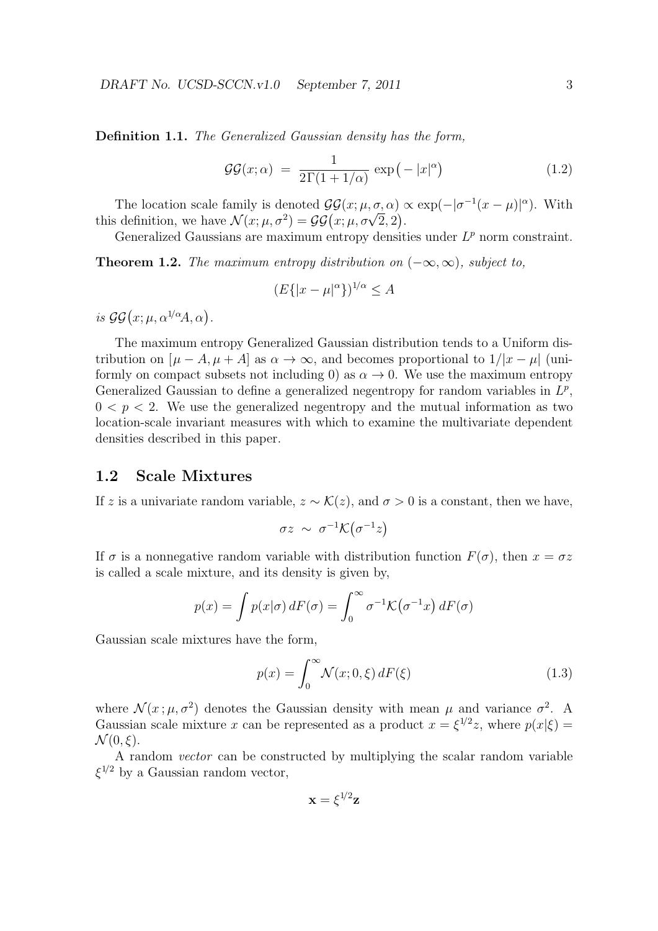**Definition 1.1.** *The Generalized Gaussian density has the form,*

$$
\mathcal{GG}(x;\alpha) = \frac{1}{2\Gamma(1+1/\alpha)} \exp(-|x|^{\alpha}) \tag{1.2}
$$

The location scale family is denoted  $\mathcal{GG}(x; \mu, \sigma, \alpha) \propto \exp(-|\sigma^{-1}(x-\mu)|^{\alpha})$ . With this definition, we have  $\mathcal{N}(x; \mu, \sigma^2) = \mathcal{GG}(x; \mu, \sigma\sqrt{2}, 2)$ .

Generalized Gaussians are maximum entropy densities under  $L^p$  norm constraint.

**Theorem 1.2.** *The maximum entropy distribution on*  $(-\infty, \infty)$ *, subject to,* 

$$
(E\{|x-\mu|^{\alpha}\})^{1/\alpha} \le A
$$

*is*  $\mathcal{G}\mathcal{G}(x;\mu,\alpha^{1/\alpha}A,\alpha)$ .

The maximum entropy Generalized Gaussian distribution tends to a Uniform distribution on  $[\mu - A, \mu + A]$  as  $\alpha \to \infty$ , and becomes proportional to  $1/|x - \mu|$  (uniformly on compact subsets not including 0) as  $\alpha \to 0$ . We use the maximum entropy Generalized Gaussian to define a generalized negentropy for random variables in  $L^p$ ,  $0 < p < 2$ . We use the generalized negentropy and the mutual information as two location-scale invariant measures with which to examine the multivariate dependent densities described in this paper.

### **1.2 Scale Mixtures**

If *z* is a univariate random variable,  $z \sim \mathcal{K}(z)$ , and  $\sigma > 0$  is a constant, then we have,

$$
\sigma z \sim \sigma^{-1} \mathcal{K}(\sigma^{-1} z)
$$

If  $\sigma$  is a nonnegative random variable with distribution function  $F(\sigma)$ , then  $x = \sigma z$ is called a scale mixture, and its density is given by,

$$
p(x) = \int p(x|\sigma) dF(\sigma) = \int_0^\infty \sigma^{-1} \mathcal{K}(\sigma^{-1}x) dF(\sigma)
$$

Gaussian scale mixtures have the form,

$$
p(x) = \int_0^\infty \mathcal{N}(x; 0, \xi) dF(\xi)
$$
\n(1.3)

where  $\mathcal{N}(x;\mu,\sigma^2)$  denotes the Gaussian density with mean  $\mu$  and variance  $\sigma^2$ . A Gaussian scale mixture *x* can be represented as a product  $x = \xi^{1/2}z$ , where  $p(x|\xi) =$  $\mathcal{N}(0,\xi)$ .

A random *vector* can be constructed by multiplying the scalar random variable *ξ* <sup>1</sup>*/*<sup>2</sup> by a Gaussian random vector,

$$
\mathbf{x}=\xi^{1\!/2}\mathbf{z}
$$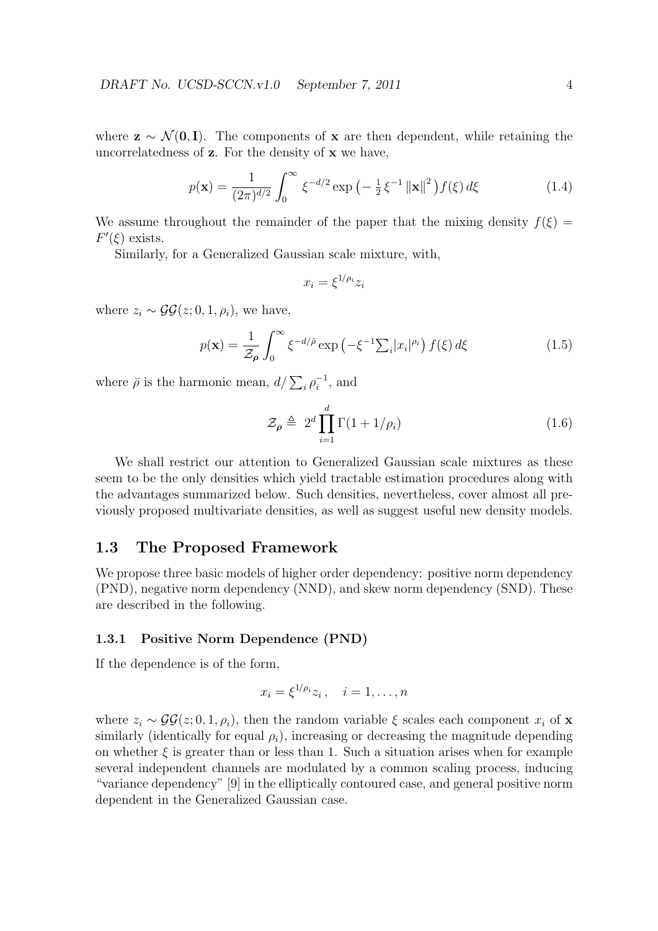where  $z \sim \mathcal{N}(0, I)$ . The components of x are then dependent, while retaining the uncorrelatedness of **z**. For the density of **x** we have,

$$
p(\mathbf{x}) = \frac{1}{(2\pi)^{d/2}} \int_0^\infty \xi^{-d/2} \exp\left(-\frac{1}{2}\xi^{-1} \left\|\mathbf{x}\right\|^2\right) f(\xi) d\xi \tag{1.4}
$$

We assume throughout the remainder of the paper that the mixing density  $f(\xi)$  =  $F'(\xi)$  exists.

Similarly, for a Generalized Gaussian scale mixture, with,

$$
x_i = \xi^{1/\rho_i} z_i
$$

where  $z_i \sim \mathcal{GG}(z; 0, 1, \rho_i)$ , we have,

$$
p(\mathbf{x}) = \frac{1}{\mathcal{Z}_{\rho}} \int_0^{\infty} \xi^{-d/\bar{\rho}} \exp\left(-\xi^{-1} \sum_i |x_i|^{\rho_i}\right) f(\xi) d\xi \tag{1.5}
$$

where  $\bar{\rho}$  is the harmonic mean,  $d/\sum_i \rho_i^{-1}$ , and

$$
\mathcal{Z}_{\rho} \triangleq 2^d \prod_{i=1}^d \Gamma(1 + 1/\rho_i) \tag{1.6}
$$

We shall restrict our attention to Generalized Gaussian scale mixtures as these seem to be the only densities which yield tractable estimation procedures along with the advantages summarized below. Such densities, nevertheless, cover almost all previously proposed multivariate densities, as well as suggest useful new density models.

### **1.3 The Proposed Framework**

We propose three basic models of higher order dependency: positive norm dependency (PND), negative norm dependency (NND), and skew norm dependency (SND). These are described in the following.

#### **1.3.1 Positive Norm Dependence (PND)**

If the dependence is of the form,

$$
x_i = \xi^{1/\rho_i} z_i, \quad i = 1, \dots, n
$$

where  $z_i \sim \mathcal{GG}(z; 0, 1, \rho_i)$ , then the random variable  $\xi$  scales each component  $x_i$  of **x** similarly (identically for equal  $\rho_i$ ), increasing or decreasing the magnitude depending on whether  $\xi$  is greater than or less than 1. Such a situation arises when for example several independent channels are modulated by a common scaling process, inducing "variance dependency" [9] in the elliptically contoured case, and general positive norm dependent in the Generalized Gaussian case.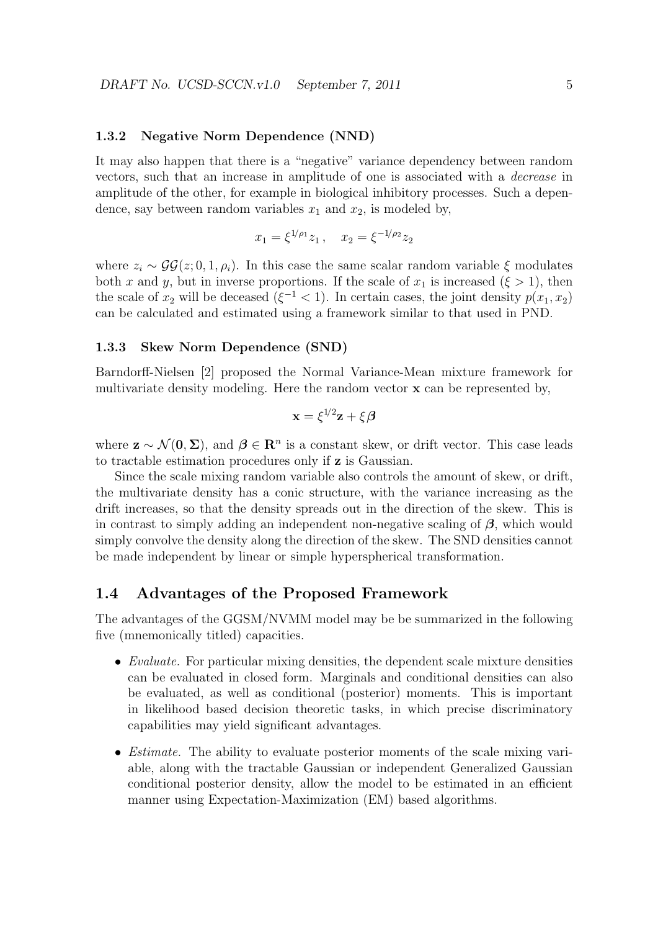#### **1.3.2 Negative Norm Dependence (NND)**

It may also happen that there is a "negative" variance dependency between random vectors, such that an increase in amplitude of one is associated with a *decrease* in amplitude of the other, for example in biological inhibitory processes. Such a dependence, say between random variables  $x_1$  and  $x_2$ , is modeled by,

$$
x_1 = \xi^{1/\rho_1} z_1, \quad x_2 = \xi^{-1/\rho_2} z_2
$$

where  $z_i \sim \mathcal{GG}(z; 0, 1, \rho_i)$ . In this case the same scalar random variable  $\xi$  modulates both *x* and *y*, but in inverse proportions. If the scale of  $x_1$  is increased ( $\xi > 1$ ), then the scale of  $x_2$  will be deceased ( $\xi^{-1}$  < 1). In certain cases, the joint density  $p(x_1, x_2)$ can be calculated and estimated using a framework similar to that used in PND.

#### **1.3.3 Skew Norm Dependence (SND)**

Barndorff-Nielsen [2] proposed the Normal Variance-Mean mixture framework for multivariate density modeling. Here the random vector **x** can be represented by,

$$
\mathbf{x} = \xi^{1/2} \mathbf{z} + \xi \boldsymbol{\beta}
$$

where  $\mathbf{z} \sim \mathcal{N}(\mathbf{0}, \Sigma)$ , and  $\boldsymbol{\beta} \in \mathbb{R}^n$  is a constant skew, or drift vector. This case leads to tractable estimation procedures only if **z** is Gaussian.

Since the scale mixing random variable also controls the amount of skew, or drift, the multivariate density has a conic structure, with the variance increasing as the drift increases, so that the density spreads out in the direction of the skew. This is in contrast to simply adding an independent non-negative scaling of *β*, which would simply convolve the density along the direction of the skew. The SND densities cannot be made independent by linear or simple hyperspherical transformation.

### **1.4 Advantages of the Proposed Framework**

The advantages of the GGSM/NVMM model may be be summarized in the following five (mnemonically titled) capacities.

- *• Evaluate.* For particular mixing densities, the dependent scale mixture densities can be evaluated in closed form. Marginals and conditional densities can also be evaluated, as well as conditional (posterior) moments. This is important in likelihood based decision theoretic tasks, in which precise discriminatory capabilities may yield significant advantages.
- *• Estimate.* The ability to evaluate posterior moments of the scale mixing variable, along with the tractable Gaussian or independent Generalized Gaussian conditional posterior density, allow the model to be estimated in an efficient manner using Expectation-Maximization (EM) based algorithms.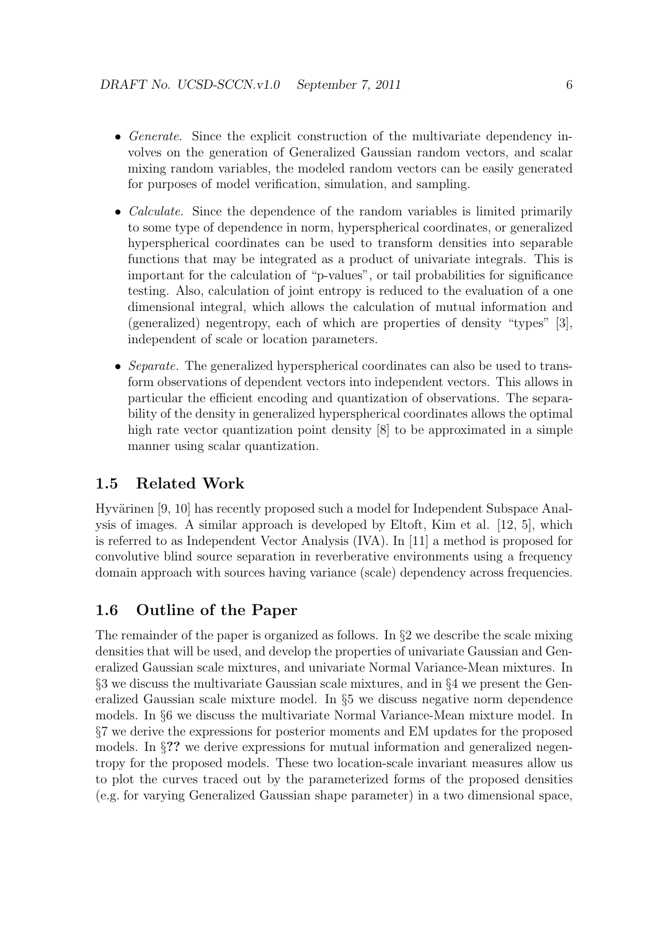- *Generate.* Since the explicit construction of the multivariate dependency involves on the generation of Generalized Gaussian random vectors, and scalar mixing random variables, the modeled random vectors can be easily generated for purposes of model verification, simulation, and sampling.
- *Calculate.* Since the dependence of the random variables is limited primarily to some type of dependence in norm, hyperspherical coordinates, or generalized hyperspherical coordinates can be used to transform densities into separable functions that may be integrated as a product of univariate integrals. This is important for the calculation of "p-values", or tail probabilities for significance testing. Also, calculation of joint entropy is reduced to the evaluation of a one dimensional integral, which allows the calculation of mutual information and (generalized) negentropy, each of which are properties of density "types" [3], independent of scale or location parameters.
- *Separate.* The generalized hyperspherical coordinates can also be used to transform observations of dependent vectors into independent vectors. This allows in particular the efficient encoding and quantization of observations. The separability of the density in generalized hyperspherical coordinates allows the optimal high rate vector quantization point density [8] to be approximated in a simple manner using scalar quantization.

### **1.5 Related Work**

Hyvärinen [9, 10] has recently proposed such a model for Independent Subspace Analysis of images. A similar approach is developed by Eltoft, Kim et al. [12, 5], which is referred to as Independent Vector Analysis (IVA). In [11] a method is proposed for convolutive blind source separation in reverberative environments using a frequency domain approach with sources having variance (scale) dependency across frequencies.

### **1.6 Outline of the Paper**

The remainder of the paper is organized as follows. In *§*2 we describe the scale mixing densities that will be used, and develop the properties of univariate Gaussian and Generalized Gaussian scale mixtures, and univariate Normal Variance-Mean mixtures. In *§*3 we discuss the multivariate Gaussian scale mixtures, and in *§*4 we present the Generalized Gaussian scale mixture model. In *§*5 we discuss negative norm dependence models. In *§*6 we discuss the multivariate Normal Variance-Mean mixture model. In *§*7 we derive the expressions for posterior moments and EM updates for the proposed models. In §?? we derive expressions for mutual information and generalized negentropy for the proposed models. These two location-scale invariant measures allow us to plot the curves traced out by the parameterized forms of the proposed densities (e.g. for varying Generalized Gaussian shape parameter) in a two dimensional space,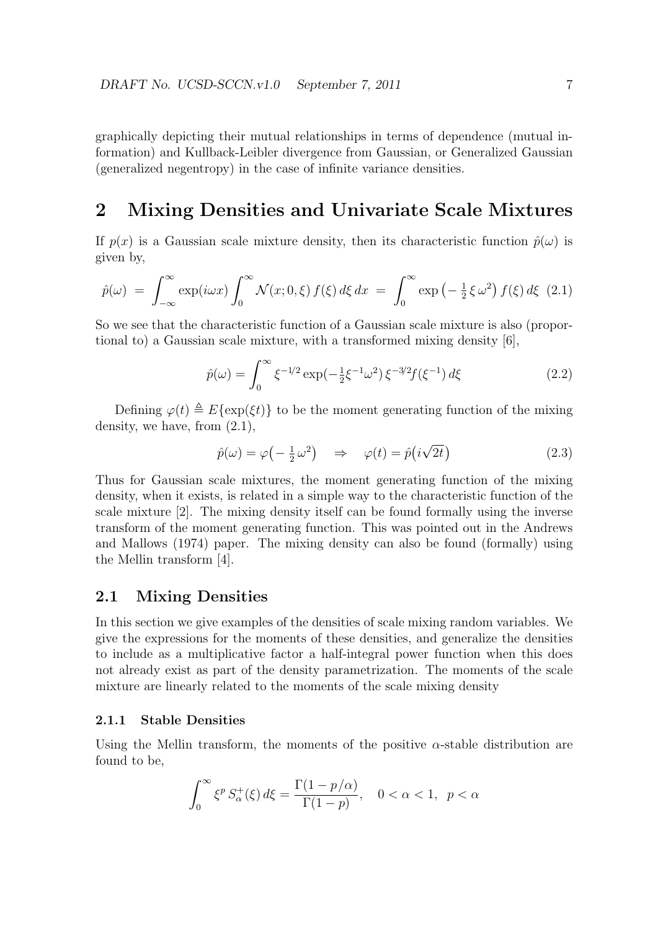graphically depicting their mutual relationships in terms of dependence (mutual information) and Kullback-Leibler divergence from Gaussian, or Generalized Gaussian (generalized negentropy) in the case of infinite variance densities.

# **2 Mixing Densities and Univariate Scale Mixtures**

If  $p(x)$  is a Gaussian scale mixture density, then its characteristic function  $\hat{p}(\omega)$  is given by,

$$
\hat{p}(\omega) = \int_{-\infty}^{\infty} \exp(i\omega x) \int_{0}^{\infty} \mathcal{N}(x; 0, \xi) f(\xi) d\xi dx = \int_{0}^{\infty} \exp\left(-\frac{1}{2}\xi \omega^2\right) f(\xi) d\xi \tag{2.1}
$$

So we see that the characteristic function of a Gaussian scale mixture is also (proportional to) a Gaussian scale mixture, with a transformed mixing density [6],

$$
\hat{p}(\omega) = \int_0^\infty \xi^{-1/2} \exp(-\frac{1}{2}\xi^{-1}\omega^2) \xi^{-3/2} f(\xi^{-1}) d\xi \tag{2.2}
$$

Defining  $\varphi(t) \triangleq E\{\exp(\xi t)\}\$ to be the moment generating function of the mixing density, we have, from (2.1),

$$
\hat{p}(\omega) = \varphi\left(-\frac{1}{2}\omega^2\right) \quad \Rightarrow \quad \varphi(t) = \hat{p}\left(i\sqrt{2t}\right) \tag{2.3}
$$

Thus for Gaussian scale mixtures, the moment generating function of the mixing density, when it exists, is related in a simple way to the characteristic function of the scale mixture [2]. The mixing density itself can be found formally using the inverse transform of the moment generating function. This was pointed out in the Andrews and Mallows (1974) paper. The mixing density can also be found (formally) using the Mellin transform [4].

### **2.1 Mixing Densities**

In this section we give examples of the densities of scale mixing random variables. We give the expressions for the moments of these densities, and generalize the densities to include as a multiplicative factor a half-integral power function when this does not already exist as part of the density parametrization. The moments of the scale mixture are linearly related to the moments of the scale mixing density

### **2.1.1 Stable Densities**

Using the Mellin transform, the moments of the positive *α*-stable distribution are found to be,

$$
\int_0^\infty \xi^p S_\alpha^+(\xi) d\xi = \frac{\Gamma(1 - p/\alpha)}{\Gamma(1 - p)}, \quad 0 < \alpha < 1, \quad p < \alpha
$$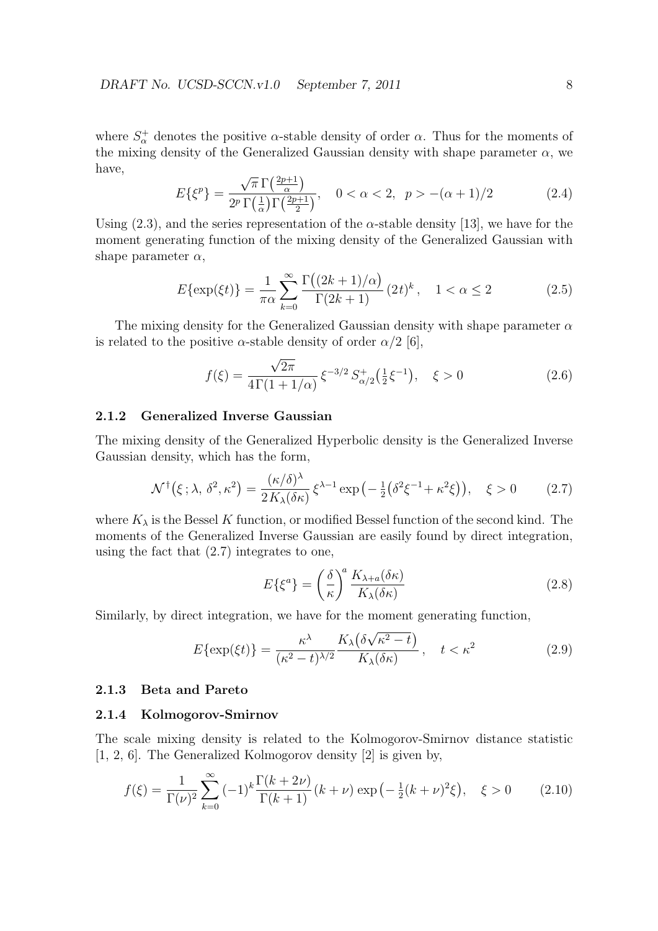where  $S^{\dagger}_{\alpha}$  denotes the positive *α*-stable density of order *α*. Thus for the moments of the mixing density of the Generalized Gaussian density with shape parameter  $\alpha$ , we have, *√*

$$
E\{\xi^p\} = \frac{\sqrt{\pi} \Gamma\left(\frac{2p+1}{\alpha}\right)}{2^p \Gamma\left(\frac{1}{\alpha}\right) \Gamma\left(\frac{2p+1}{2}\right)}, \quad 0 < \alpha < 2, \quad p > -(\alpha+1)/2 \tag{2.4}
$$

Using (2.3), and the series representation of the *α*-stable density [13], we have for the moment generating function of the mixing density of the Generalized Gaussian with shape parameter  $\alpha$ ,

$$
E\{\exp(\xi t)\} = \frac{1}{\pi\alpha} \sum_{k=0}^{\infty} \frac{\Gamma((2k+1)/\alpha)}{\Gamma(2k+1)} (2t)^k, \quad 1 < \alpha \le 2
$$
 (2.5)

The mixing density for the Generalized Gaussian density with shape parameter *α* is related to the positive  $\alpha$ -stable density of order  $\alpha/2$  [6],

$$
f(\xi) = \frac{\sqrt{2\pi}}{4\Gamma(1+1/\alpha)} \xi^{-3/2} S_{\alpha/2}^+(\frac{1}{2}\xi^{-1}), \quad \xi > 0
$$
 (2.6)

### **2.1.2 Generalized Inverse Gaussian**

The mixing density of the Generalized Hyperbolic density is the Generalized Inverse Gaussian density, which has the form,

$$
\mathcal{N}^{\dagger}(\xi;\lambda,\,\delta^{2},\kappa^{2}) = \frac{(\kappa/\delta)^{\lambda}}{2K_{\lambda}(\delta\kappa)}\,\xi^{\lambda-1}\exp\left(-\frac{1}{2}\left(\delta^{2}\xi^{-1}+\kappa^{2}\xi\right)\right),\quad\xi>0\tag{2.7}
$$

where  $K_{\lambda}$  is the Bessel K function, or modified Bessel function of the second kind. The moments of the Generalized Inverse Gaussian are easily found by direct integration, using the fact that (2.7) integrates to one,

$$
E\{\xi^a\} = \left(\frac{\delta}{\kappa}\right)^a \frac{K_{\lambda+a}(\delta\kappa)}{K_{\lambda}(\delta\kappa)}
$$
(2.8)

Similarly, by direct integration, we have for the moment generating function,

$$
E\{\exp(\xi t)\} = \frac{\kappa^{\lambda}}{(\kappa^2 - t)^{\lambda/2}} \frac{K_{\lambda}(\delta\sqrt{\kappa^2 - t})}{K_{\lambda}(\delta\kappa)}, \quad t < \kappa^2
$$
 (2.9)

#### **2.1.3 Beta and Pareto**

#### **2.1.4 Kolmogorov-Smirnov**

The scale mixing density is related to the Kolmogorov-Smirnov distance statistic [1, 2, 6]. The Generalized Kolmogorov density [2] is given by,

$$
f(\xi) = \frac{1}{\Gamma(\nu)^2} \sum_{k=0}^{\infty} (-1)^k \frac{\Gamma(k+2\nu)}{\Gamma(k+1)} (k+\nu) \exp\left(-\frac{1}{2}(k+\nu)^2 \xi\right), \quad \xi > 0 \tag{2.10}
$$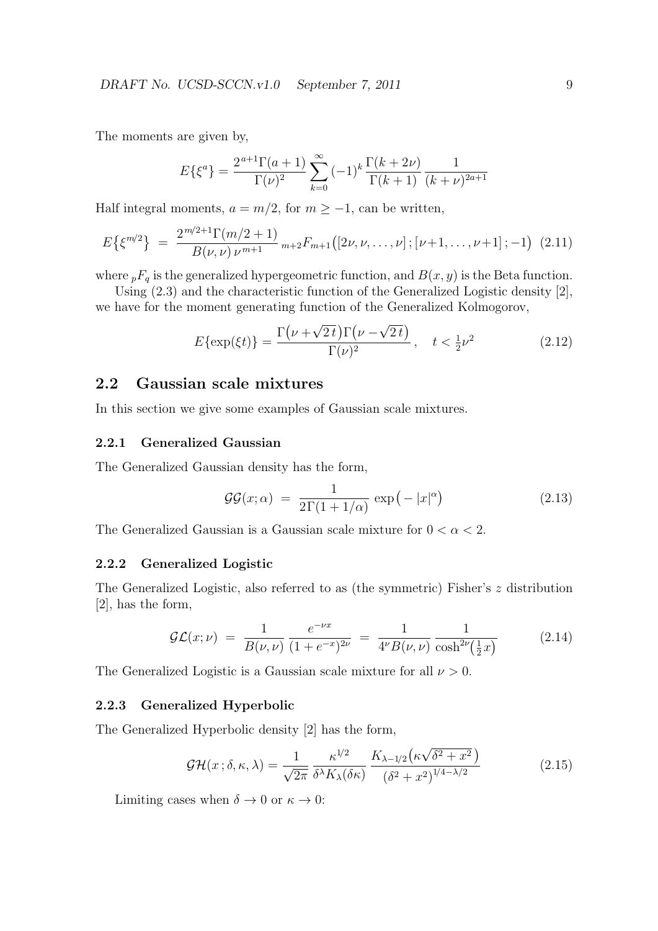The moments are given by,

$$
E\{\xi^{a}\} = \frac{2^{a+1}\Gamma(a+1)}{\Gamma(\nu)^{2}}\sum_{k=0}^{\infty}(-1)^{k}\frac{\Gamma(k+2\nu)}{\Gamma(k+1)}\frac{1}{(k+\nu)^{2a+1}}
$$

Half integral moments,  $a = m/2$ , for  $m \ge -1$ , can be written,

$$
E\{\xi^{m/2}\} = \frac{2^{m/2+1}\Gamma(m/2+1)}{B(\nu,\nu)\nu^{m+1}} m_{+2}F_{m+1}([2\nu,\nu,\ldots,\nu];[\nu+1,\ldots,\nu+1];-1) (2.11)
$$

where  $pF_q$  is the generalized hypergeometric function, and  $B(x, y)$  is the Beta function.

Using (2.3) and the characteristic function of the Generalized Logistic density [2], we have for the moment generating function of the Generalized Kolmogorov,

$$
E\{\exp(\xi t)\} = \frac{\Gamma(\nu + \sqrt{2t})\Gamma(\nu - \sqrt{2t})}{\Gamma(\nu)^2}, \quad t < \frac{1}{2}\nu^2 \tag{2.12}
$$

# **2.2 Gaussian scale mixtures**

In this section we give some examples of Gaussian scale mixtures.

### **2.2.1 Generalized Gaussian**

The Generalized Gaussian density has the form,

$$
\mathcal{GG}(x;\alpha) = \frac{1}{2\Gamma(1+1/\alpha)} \exp(-|x|^{\alpha}) \tag{2.13}
$$

The Generalized Gaussian is a Gaussian scale mixture for 0 *< α <* 2.

### **2.2.2 Generalized Logistic**

The Generalized Logistic, also referred to as (the symmetric) Fisher's *z* distribution [2], has the form,

$$
\mathcal{GL}(x;\nu) = \frac{1}{B(\nu,\nu)} \frac{e^{-\nu x}}{(1+e^{-x})^{2\nu}} = \frac{1}{4^{\nu}B(\nu,\nu)} \frac{1}{\cosh^{2\nu}(\frac{1}{2}x)} \tag{2.14}
$$

The Generalized Logistic is a Gaussian scale mixture for all *ν >* 0.

#### **2.2.3 Generalized Hyperbolic**

The Generalized Hyperbolic density [2] has the form,

$$
\mathcal{GH}(x;\delta,\kappa,\lambda) = \frac{1}{\sqrt{2\pi}} \frac{\kappa^{1/2}}{\delta^{\lambda} K_{\lambda}(\delta\kappa)} \frac{K_{\lambda-1/2}(\kappa\sqrt{\delta^2 + x^2})}{(\delta^2 + x^2)^{1/4 - \lambda/2}}
$$
(2.15)

Limiting cases when  $\delta \to 0$  or  $\kappa \to 0$ :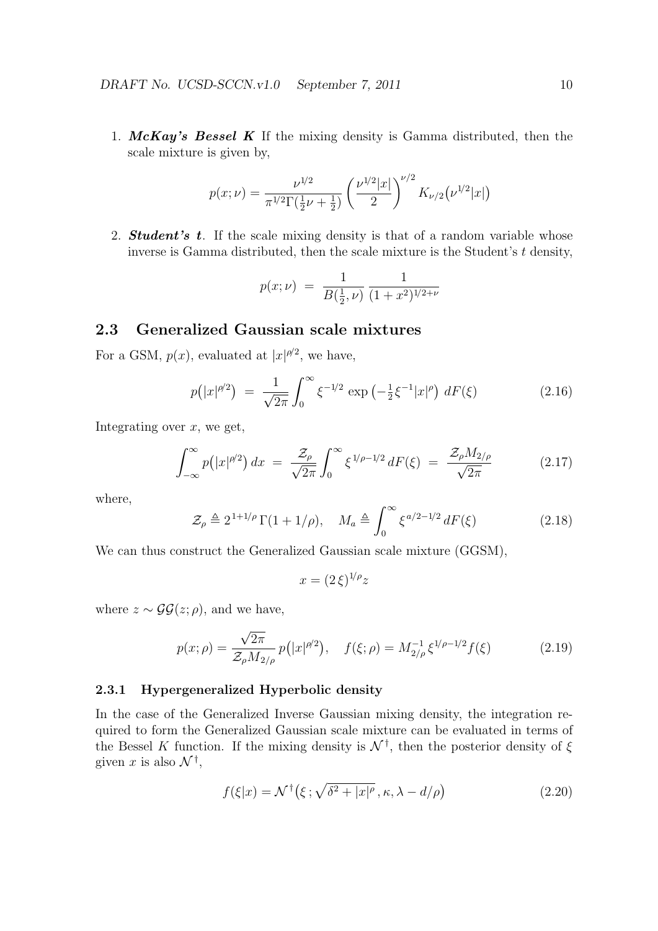1. *McKay's Bessel K* If the mixing density is Gamma distributed, then the scale mixture is given by,

$$
p(x; \nu) = \frac{\nu^{1/2}}{\pi^{1/2} \Gamma(\frac{1}{2}\nu + \frac{1}{2})} \left(\frac{\nu^{1/2} |x|}{2}\right)^{\nu/2} K_{\nu/2}(\nu^{1/2} |x|)
$$

2. *Student's t*. If the scale mixing density is that of a random variable whose inverse is Gamma distributed, then the scale mixture is the Student's *t* density,

$$
p(x; \nu) = \frac{1}{B(\frac{1}{2}, \nu)} \frac{1}{(1+x^2)^{1/2+\nu}}
$$

### **2.3 Generalized Gaussian scale mixtures**

For a GSM,  $p(x)$ , evaluated at  $|x|^{p/2}$ , we have,

$$
p(|x|^{\rho/2}) = \frac{1}{\sqrt{2\pi}} \int_0^\infty \xi^{-1/2} \exp\left(-\frac{1}{2}\xi^{-1}|x|^\rho\right) dF(\xi)
$$
 (2.16)

Integrating over *x*, we get,

$$
\int_{-\infty}^{\infty} p(|x|^{\rho/2}) dx = \frac{\mathcal{Z}_{\rho}}{\sqrt{2\pi}} \int_{0}^{\infty} \xi^{1/\rho - 1/2} dF(\xi) = \frac{\mathcal{Z}_{\rho} M_{2/\rho}}{\sqrt{2\pi}} \tag{2.17}
$$

where,

$$
\mathcal{Z}_{\rho} \triangleq 2^{1+1/\rho} \Gamma(1+1/\rho), \quad M_a \triangleq \int_0^\infty \xi^{a/2-1/2} dF(\xi) \tag{2.18}
$$

We can thus construct the Generalized Gaussian scale mixture (GGSM),

$$
x = (2\,\xi)^{1/\rho} z
$$

where  $z \sim \mathcal{GG}(z; \rho)$ , and we have,

$$
p(x; \rho) = \frac{\sqrt{2\pi}}{\mathcal{Z}_{\rho} M_{2/\rho}} p(|x|^{\rho/2}), \quad f(\xi; \rho) = M_{2/\rho}^{-1} \xi^{1/\rho - 1/2} f(\xi)
$$
(2.19)

### **2.3.1 Hypergeneralized Hyperbolic density**

In the case of the Generalized Inverse Gaussian mixing density, the integration required to form the Generalized Gaussian scale mixture can be evaluated in terms of the Bessel *K* function. If the mixing density is *N †* , then the posterior density of *ξ* given *x* is also  $\mathcal{N}^{\dagger}$ ,

$$
f(\xi|x) = \mathcal{N}^{\dagger}(\xi; \sqrt{\delta^2 + |x|^{\rho}}, \kappa, \lambda - d/\rho)
$$
 (2.20)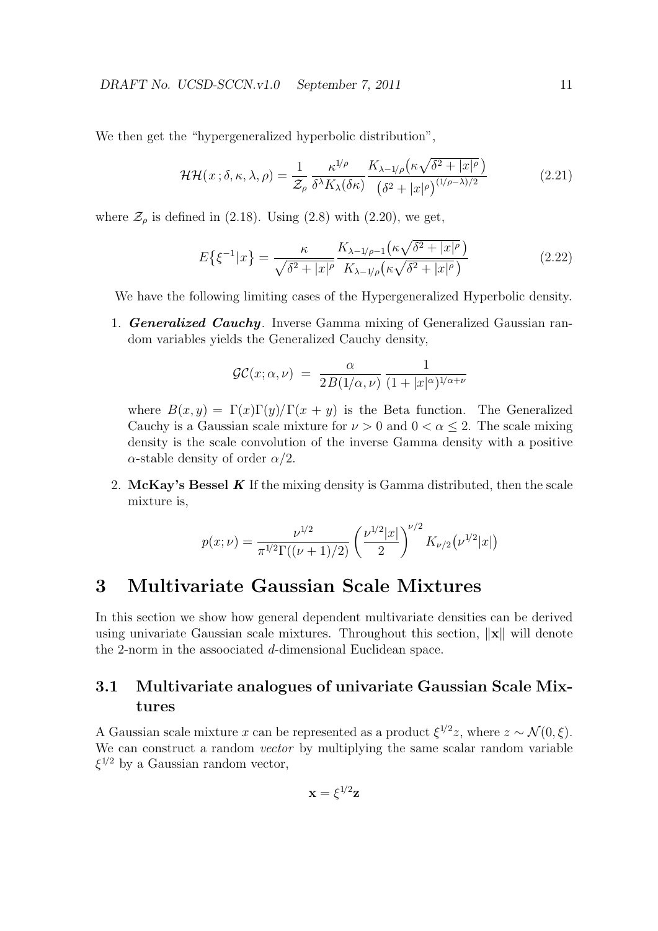We then get the "hypergeneralized hyperbolic distribution",

$$
\mathcal{HH}(x;\delta,\kappa,\lambda,\rho) = \frac{1}{\mathcal{Z}_{\rho}} \frac{\kappa^{1/\rho}}{\delta^{\lambda} K_{\lambda}(\delta\kappa)} \frac{K_{\lambda-1/\rho} \left(\kappa \sqrt{\delta^2 + |x|^{\rho}}\right)}{\left(\delta^2 + |x|^{\rho}\right)^{(1/\rho-\lambda)/2}} \tag{2.21}
$$

where  $\mathcal{Z}_{\rho}$  is defined in (2.18). Using (2.8) with (2.20), we get,

$$
E\left\{\xi^{-1}|x\right\} = \frac{\kappa}{\sqrt{\delta^2 + |x|^{\rho}}} \frac{K_{\lambda - 1/\rho - 1}\left(\kappa\sqrt{\delta^2 + |x|^{\rho}}\right)}{K_{\lambda - 1/\rho}\left(\kappa\sqrt{\delta^2 + |x|^{\rho}}\right)}\tag{2.22}
$$

We have the following limiting cases of the Hypergeneralized Hyperbolic density.

1. *Generalized Cauchy*. Inverse Gamma mixing of Generalized Gaussian random variables yields the Generalized Cauchy density,

$$
\mathcal{GC}(x;\alpha,\nu) = \frac{\alpha}{2B(1/\alpha,\nu)} \frac{1}{(1+|x|^{\alpha})^{1/\alpha+\nu}}
$$

where  $B(x, y) = \Gamma(x)\Gamma(y)/\Gamma(x + y)$  is the Beta function. The Generalized Cauchy is a Gaussian scale mixture for  $\nu > 0$  and  $0 < \alpha \leq 2$ . The scale mixing density is the scale convolution of the inverse Gamma density with a positive *α*-stable density of order *α/*2.

2. **McKay's Bessel** *K* If the mixing density is Gamma distributed, then the scale mixture is,

$$
p(x; \nu) = \frac{\nu^{1/2}}{\pi^{1/2} \Gamma((\nu + 1)/2)} \left(\frac{\nu^{1/2} |x|}{2}\right)^{\nu/2} K_{\nu/2}(\nu^{1/2} |x|)
$$

# **3 Multivariate Gaussian Scale Mixtures**

In this section we show how general dependent multivariate densities can be derived using univariate Gaussian scale mixtures. Throughout this section, *∥***x***∥* will denote the 2-norm in the assoociated *d*-dimensional Euclidean space.

# **3.1 Multivariate analogues of univariate Gaussian Scale Mixtures**

A Gaussian scale mixture *x* can be represented as a product  $\xi^{1/2}z$ , where  $z \sim \mathcal{N}(0, \xi)$ . We can construct a random *vector* by multiplying the same scalar random variable *ξ* <sup>1</sup>*/*<sup>2</sup> by a Gaussian random vector,

$$
\mathbf{x} = \xi^{1/2} \mathbf{z}
$$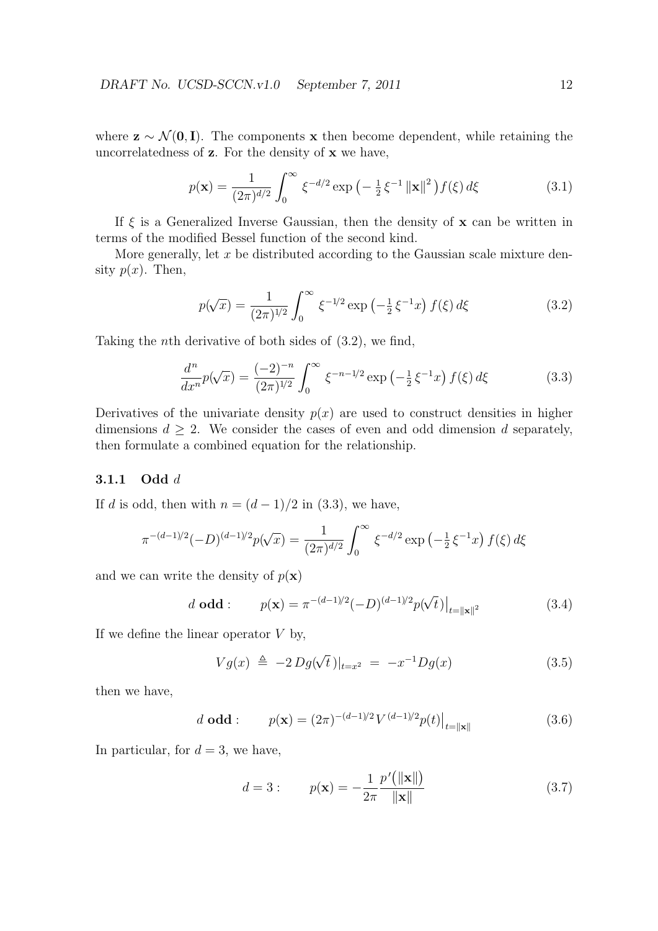where  $z \sim \mathcal{N}(\mathbf{0}, \mathbf{I})$ . The components **x** then become dependent, while retaining the uncorrelatedness of **z**. For the density of **x** we have,

$$
p(\mathbf{x}) = \frac{1}{(2\pi)^{d/2}} \int_0^\infty \xi^{-d/2} \exp\left(-\frac{1}{2}\xi^{-1} \left\|\mathbf{x}\right\|^2\right) f(\xi) d\xi \tag{3.1}
$$

If  $\xi$  is a Generalized Inverse Gaussian, then the density of **x** can be written in terms of the modified Bessel function of the second kind.

More generally, let *x* be distributed according to the Gaussian scale mixture density  $p(x)$ . Then,

$$
p(\sqrt{x}) = \frac{1}{(2\pi)^{1/2}} \int_0^\infty \xi^{-1/2} \exp\left(-\frac{1}{2}\xi^{-1}x\right) f(\xi) d\xi \tag{3.2}
$$

Taking the *n*th derivative of both sides of (3.2), we find,

$$
\frac{d^n}{dx^n}p(\sqrt{x}) = \frac{(-2)^{-n}}{(2\pi)^{1/2}} \int_0^\infty \xi^{-n-1/2} \exp\left(-\frac{1}{2}\xi^{-1}x\right) f(\xi) d\xi \tag{3.3}
$$

Derivatives of the univariate density  $p(x)$  are used to construct densities in higher dimensions  $d > 2$ . We consider the cases of even and odd dimension *d* separately, then formulate a combined equation for the relationship.

#### **3.1.1 Odd** *d*

If *d* is odd, then with  $n = (d-1)/2$  in (3.3), we have,

$$
\pi^{-(d-1)/2}(-D)^{(d-1)/2}p(\sqrt{x}) = \frac{1}{(2\pi)^{d/2}} \int_0^\infty \xi^{-d/2} \exp\left(-\frac{1}{2}\xi^{-1}x\right) f(\xi) d\xi
$$

and we can write the density of  $p(\mathbf{x})$ 

$$
d \text{ odd}: \qquad p(\mathbf{x}) = \pi^{-(d-1)/2} (-D)^{(d-1)/2} p(\sqrt{t})|_{t=\|\mathbf{x}\|^2}
$$
\n(3.4)

If we define the linear operator *V* by,

$$
Vg(x) \triangleq -2 Dg(\sqrt{t})|_{t=x^2} = -x^{-1}Dg(x)
$$
\n(3.5)

then we have,

$$
d \text{ odd}: \qquad p(\mathbf{x}) = (2\pi)^{-(d-1)/2} V^{(d-1)/2} p(t) \big|_{t=\|\mathbf{x}\|} \tag{3.6}
$$

In particular, for  $d = 3$ , we have,

$$
d = 3: \t p(\mathbf{x}) = -\frac{1}{2\pi} \frac{p'(\|\mathbf{x}\|)}{\|\mathbf{x}\|} \t (3.7)
$$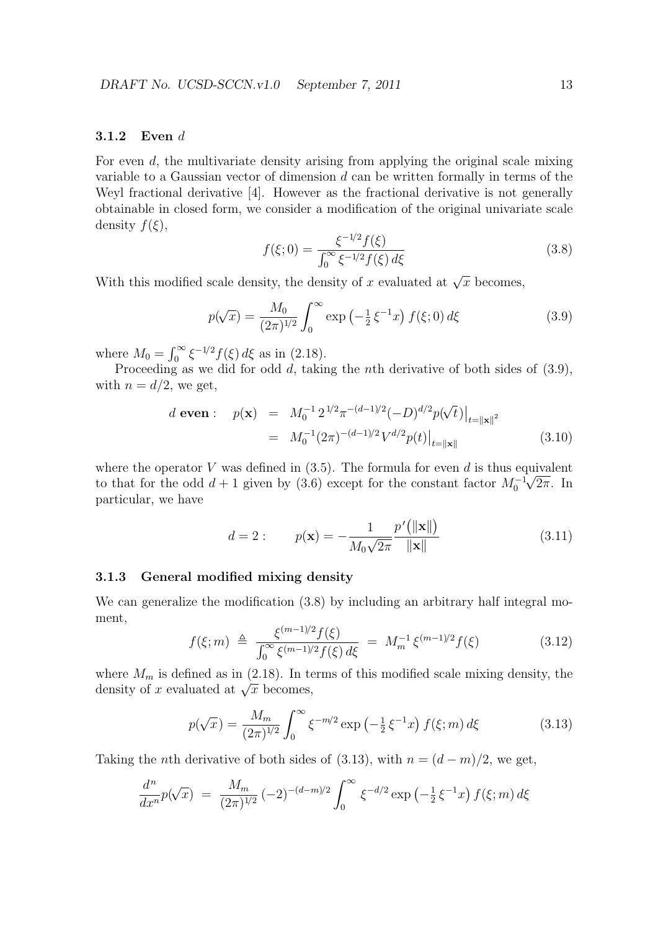#### **3.1.2 Even** *d*

For even *d*, the multivariate density arising from applying the original scale mixing variable to a Gaussian vector of dimension *d* can be written formally in terms of the Weyl fractional derivative [4]. However as the fractional derivative is not generally obtainable in closed form, we consider a modification of the original univariate scale density  $f(\xi)$ ,

$$
f(\xi;0) = \frac{\xi^{-1/2} f(\xi)}{\int_0^\infty \xi^{-1/2} f(\xi) d\xi}
$$
\n(3.8)

With this modified scale density, the density of *x* evaluated at  $\sqrt{x}$  becomes,

$$
p(\sqrt{x}) = \frac{M_0}{(2\pi)^{1/2}} \int_0^\infty \exp\left(-\frac{1}{2}\,\xi^{-1}x\right) f(\xi;0) \,d\xi \tag{3.9}
$$

where  $M_0 = \int_0^\infty \xi^{-1/2} f(\xi) d\xi$  as in (2.18).

Proceeding as we did for odd *d*, taking the *n*th derivative of both sides of (3.9), with  $n = d/2$ , we get,

$$
d \text{ even}: \quad p(\mathbf{x}) = M_0^{-1} 2^{1/2} \pi^{-(d-1)/2} (-D)^{d/2} p(\sqrt{t})|_{t=\|\mathbf{x}\|^2}
$$

$$
= M_0^{-1} (2\pi)^{-(d-1)/2} V^{d/2} p(t)|_{t=\|\mathbf{x}\|}
$$
(3.10)

where the operator *V* was defined in  $(3.5)$ . The formula for even *d* is thus equivalent to that for the odd  $d + 1$  given by (3.6) except for the constant factor  $M_0^{-1}\sqrt{2\pi}$ . In particular, we have

$$
d = 2: \t p(\mathbf{x}) = -\frac{1}{M_0\sqrt{2\pi}} \frac{p'(\|\mathbf{x}\|)}{\|\mathbf{x}\|} \t (3.11)
$$

#### **3.1.3 General modified mixing density**

We can generalize the modification  $(3.8)$  by including an arbitrary half integral moment,

$$
f(\xi; m) \triangleq \frac{\xi^{(m-1)/2} f(\xi)}{\int_0^\infty \xi^{(m-1)/2} f(\xi) d\xi} = M_m^{-1} \xi^{(m-1)/2} f(\xi)
$$
 (3.12)

where  $M_m$  is defined as in (2.18). In terms of this modified scale mixing density, the where  $M_m$  is defined as in (2.18). In the density of *x* evaluated at  $\sqrt{x}$  becomes,

$$
p(\sqrt{x}) = \frac{M_m}{(2\pi)^{1/2}} \int_0^\infty \xi^{-m/2} \exp\left(-\frac{1}{2}\xi^{-1}x\right) f(\xi; m) d\xi \tag{3.13}
$$

Taking the *n*th derivative of both sides of (3.13), with  $n = (d - m)/2$ , we get,

$$
\frac{d^n}{dx^n}p(\sqrt{x}) = \frac{M_m}{(2\pi)^{1/2}} (-2)^{-(d-m)/2} \int_0^\infty \xi^{-d/2} \exp\left(-\frac{1}{2}\xi^{-1}x\right) f(\xi; m) d\xi
$$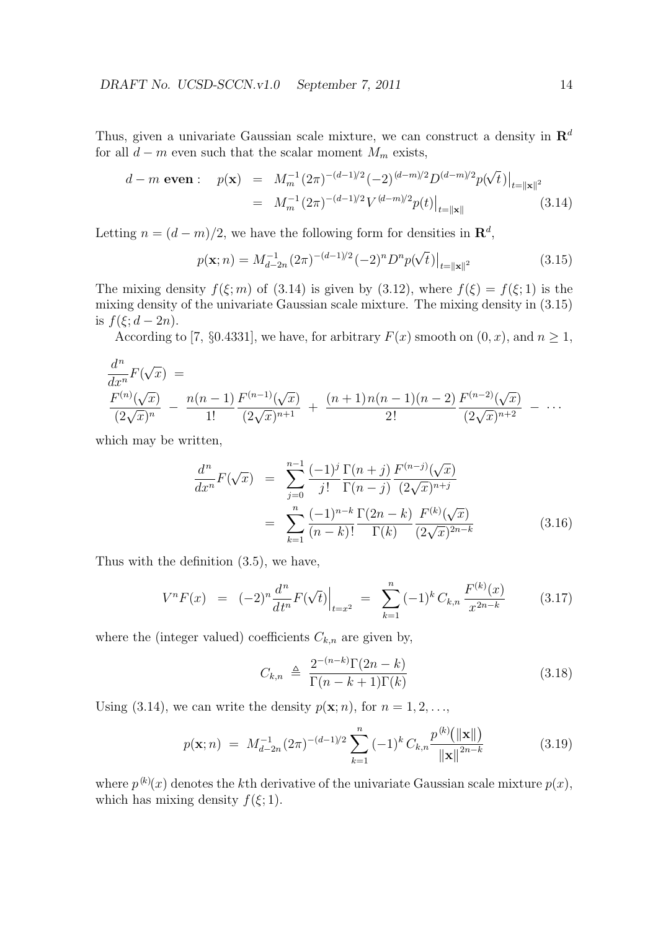Thus, given a univariate Gaussian scale mixture, we can construct a density in **R***<sup>d</sup>* for all  $d - m$  even such that the scalar moment  $M_m$  exists,

$$
d - m \text{ even}: \quad p(\mathbf{x}) = M_m^{-1} (2\pi)^{-(d-1)/2} (-2)^{(d-m)/2} D^{(d-m)/2} p(\sqrt{t}) \Big|_{t=\|\mathbf{x}\|^2}
$$

$$
= M_m^{-1} (2\pi)^{-(d-1)/2} V^{(d-m)/2} p(t) \Big|_{t=\|\mathbf{x}\|} \tag{3.14}
$$

Letting  $n = (d - m)/2$ , we have the following form for densities in  $\mathbb{R}^d$ ,

$$
p(\mathbf{x};n) = M_{d-2n}^{-1}(2\pi)^{-(d-1)/2}(-2)^n D^n p(\sqrt{t})|_{t=\|\mathbf{x}\|^2}
$$
\n(3.15)

The mixing density  $f(\xi; m)$  of (3.14) is given by (3.12), where  $f(\xi) = f(\xi; 1)$  is the mixing density of the univariate Gaussian scale mixture. The mixing density in (3.15) is  $f(\xi; d - 2n)$ .

According to [7, §0.4331], we have, for arbitrary  $F(x)$  smooth on  $(0, x)$ , and  $n \ge 1$ ,

$$
\frac{d^n}{dx^n}F(\sqrt{x}) =
$$
\n
$$
\frac{F^{(n)}(\sqrt{x})}{(2\sqrt{x})^n} - \frac{n(n-1)F^{(n-1)}(\sqrt{x})}{1!} + \frac{(n+1)n(n-1)(n-2)F^{(n-2)}(\sqrt{x})}{2!} - \cdots
$$

which may be written,

$$
\frac{d^n}{dx^n}F(\sqrt{x}) = \sum_{j=0}^{n-1} \frac{(-1)^j \Gamma(n+j)}{j!} \frac{F^{(n-j)}(\sqrt{x})}{\Gamma(n-j)} \n= \sum_{k=1}^n \frac{(-1)^{n-k} \Gamma(2n-k)}{(n-k)!} \frac{F^{(k)}(\sqrt{x})}{\Gamma(k)} \n= \sum_{k=1}^n \frac{(n-k)!}{(2\sqrt{x})^{2n-k}}
$$
\n(3.16)

Thus with the definition (3.5), we have,

$$
V^{n}F(x) = (-2)^{n} \frac{d^{n}}{dt^{n}} F(\sqrt{t}) \Big|_{t=x^{2}} = \sum_{k=1}^{n} (-1)^{k} C_{k,n} \frac{F^{(k)}(x)}{x^{2n-k}} \qquad (3.17)
$$

where the (integer valued) coefficients  $C_{k,n}$  are given by,

$$
C_{k,n} \triangleq \frac{2^{-(n-k)}\Gamma(2n-k)}{\Gamma(n-k+1)\Gamma(k)} \tag{3.18}
$$

Using (3.14), we can write the density  $p(\mathbf{x}; n)$ , for  $n = 1, 2, \ldots$ ,

$$
p(\mathbf{x};n) = M_{d-2n}^{-1}(2\pi)^{-(d-1)/2} \sum_{k=1}^{n} (-1)^k C_{k,n} \frac{p^{(k)}(\|\mathbf{x}\|)}{\|\mathbf{x}\|^{2n-k}}
$$
(3.19)

where  $p^{(k)}(x)$  denotes the *k*<sup>th</sup> derivative of the univariate Gaussian scale mixture  $p(x)$ , which has mixing density  $f(\xi; 1)$ .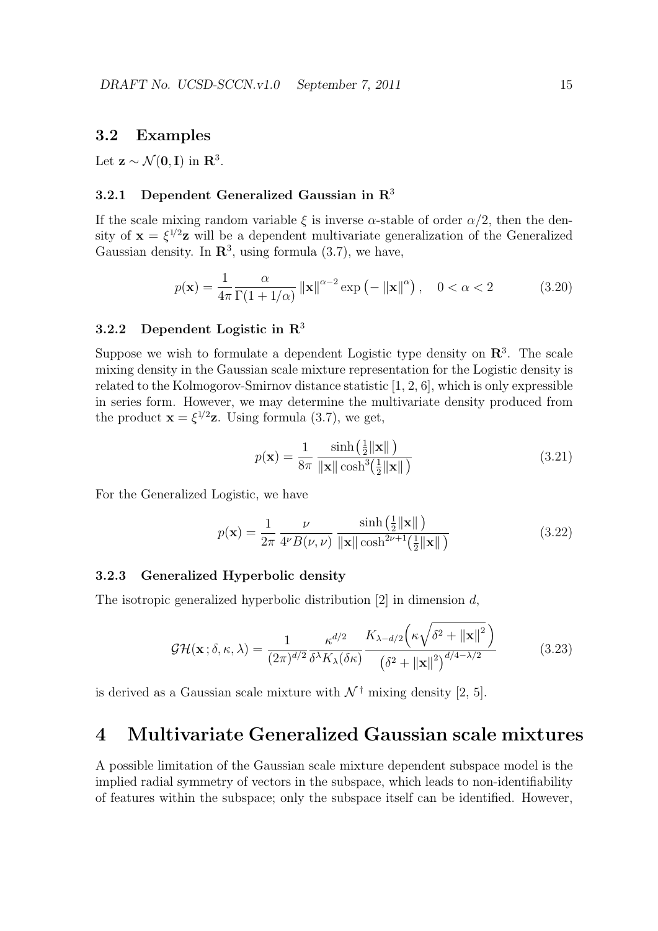### **3.2 Examples**

Let  $z \sim \mathcal{N}(0, I)$  in  $\mathbb{R}^3$ .

### **3.2.1 Dependent Generalized Gaussian in R**<sup>3</sup>

If the scale mixing random variable  $\xi$  is inverse  $\alpha$ -stable of order  $\alpha/2$ , then the density of  $\mathbf{x} = \xi^{1/2} \mathbf{z}$  will be a dependent multivariate generalization of the Generalized Gaussian density. In  $\mathbb{R}^3$ , using formula (3.7), we have,

$$
p(\mathbf{x}) = \frac{1}{4\pi} \frac{\alpha}{\Gamma(1 + 1/\alpha)} \left\| \mathbf{x} \right\|^{\alpha - 2} \exp\left(-\left\| \mathbf{x} \right\|^{\alpha}\right), \quad 0 < \alpha < 2 \tag{3.20}
$$

### **3.2.2 Dependent Logistic in R**<sup>3</sup>

Suppose we wish to formulate a dependent Logistic type density on **R**<sup>3</sup> . The scale mixing density in the Gaussian scale mixture representation for the Logistic density is related to the Kolmogorov-Smirnov distance statistic [1, 2, 6], which is only expressible in series form. However, we may determine the multivariate density produced from the product  $\mathbf{x} = \xi^{1/2} \mathbf{z}$ . Using formula (3.7), we get,

$$
p(\mathbf{x}) = \frac{1}{8\pi} \frac{\sinh\left(\frac{1}{2} \|\mathbf{x}\| \right)}{\|\mathbf{x}\| \cosh^3\left(\frac{1}{2} \|\mathbf{x}\| \right)}
$$
(3.21)

For the Generalized Logistic, we have

$$
p(\mathbf{x}) = \frac{1}{2\pi} \frac{\nu}{4^{\nu} B(\nu, \nu)} \frac{\sinh\left(\frac{1}{2} \|\mathbf{x}\| \right)}{\|\mathbf{x}\| \cosh^{2\nu+1}\left(\frac{1}{2} \|\mathbf{x}\| \right)}
$$
(3.22)

### **3.2.3 Generalized Hyperbolic density**

The isotropic generalized hyperbolic distribution [2] in dimension *d*,

$$
\mathcal{GH}(\mathbf{x};\delta,\kappa,\lambda) = \frac{1}{(2\pi)^{d/2}} \frac{\kappa^{d/2}}{\delta^{\lambda} K_{\lambda}(\delta\kappa)} \frac{K_{\lambda-d/2} \left(\kappa \sqrt{\delta^2 + ||\mathbf{x}||^2}\right)}{\left(\delta^2 + ||\mathbf{x}||^2\right)^{d/4 - \lambda/2}} \tag{3.23}
$$

is derived as a Gaussian scale mixture with  $\mathcal{N}^{\dagger}$  mixing density [2, 5].

# **4 Multivariate Generalized Gaussian scale mixtures**

A possible limitation of the Gaussian scale mixture dependent subspace model is the implied radial symmetry of vectors in the subspace, which leads to non-identifiability of features within the subspace; only the subspace itself can be identified. However,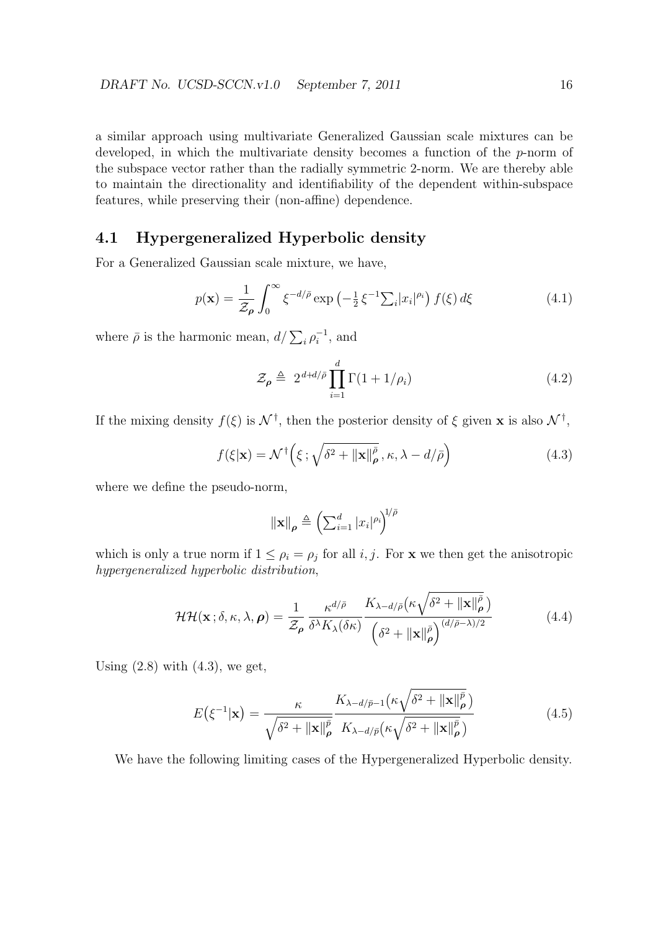a similar approach using multivariate Generalized Gaussian scale mixtures can be developed, in which the multivariate density becomes a function of the *p*-norm of the subspace vector rather than the radially symmetric 2-norm. We are thereby able to maintain the directionality and identifiability of the dependent within-subspace features, while preserving their (non-affine) dependence.

## **4.1 Hypergeneralized Hyperbolic density**

For a Generalized Gaussian scale mixture, we have,

$$
p(\mathbf{x}) = \frac{1}{\mathcal{Z}_{\rho}} \int_0^{\infty} \xi^{-d/\bar{\rho}} \exp\left(-\frac{1}{2} \xi^{-1} \sum_i |x_i|^{\rho_i}\right) f(\xi) d\xi \tag{4.1}
$$

where  $\bar{\rho}$  is the harmonic mean,  $d/\sum_i \rho_i^{-1}$ , and

$$
\mathcal{Z}_{\rho} \triangleq 2^{d+d/\bar{\rho}} \prod_{i=1}^{d} \Gamma(1+1/\rho_i)
$$
\n(4.2)

If the mixing density  $f(\xi)$  is  $\mathcal{N}^{\dagger}$ , then the posterior density of  $\xi$  given **x** is also  $\mathcal{N}^{\dagger}$ ,

$$
f(\xi|\mathbf{x}) = \mathcal{N}^{\dagger}\left(\xi; \sqrt{\delta^2 + ||\mathbf{x}||^{\bar{\rho}}_{\rho}}, \kappa, \lambda - d/\bar{\rho}\right)
$$
(4.3)

where we define the pseudo-norm,

$$
\|\mathbf{x}\|_{\boldsymbol{\rho}} \triangleq \left(\sum_{i=1}^d |x_i|^{\rho_i}\right)^{1/\bar{\rho}}
$$

which is only a true norm if  $1 \leq \rho_i = \rho_j$  for all *i*, *j*. For **x** we then get the anisotropic *hypergeneralized hyperbolic distribution*,

$$
\mathcal{HH}(\mathbf{x}; \delta, \kappa, \lambda, \boldsymbol{\rho}) = \frac{1}{\mathcal{Z}_{\boldsymbol{\rho}}} \frac{\kappa^{d/\bar{\rho}}}{\delta^{\lambda} K_{\lambda}(\delta \kappa)} \frac{K_{\lambda - d/\bar{\rho}}(\kappa \sqrt{\delta^2 + ||\mathbf{x}||_{\boldsymbol{\rho}}^{\bar{\rho}}})}{\left(\delta^2 + ||\mathbf{x}||_{\boldsymbol{\rho}}^{\bar{\rho}}\right)^{(d/\bar{\rho} - \lambda)/2}}
$$
(4.4)

Using  $(2.8)$  with  $(4.3)$ , we get,

$$
E(\xi^{-1}|\mathbf{x}) = \frac{\kappa}{\sqrt{\delta^2 + ||\mathbf{x}||_p^{\bar{p}}}} \frac{K_{\lambda - d/\bar{p}-1}(\kappa \sqrt{\delta^2 + ||\mathbf{x}||_p^{\bar{p}}})}{K_{\lambda - d/\bar{p}}(\kappa \sqrt{\delta^2 + ||\mathbf{x}||_p^{\bar{p}}})}
$$
(4.5)

We have the following limiting cases of the Hypergeneralized Hyperbolic density.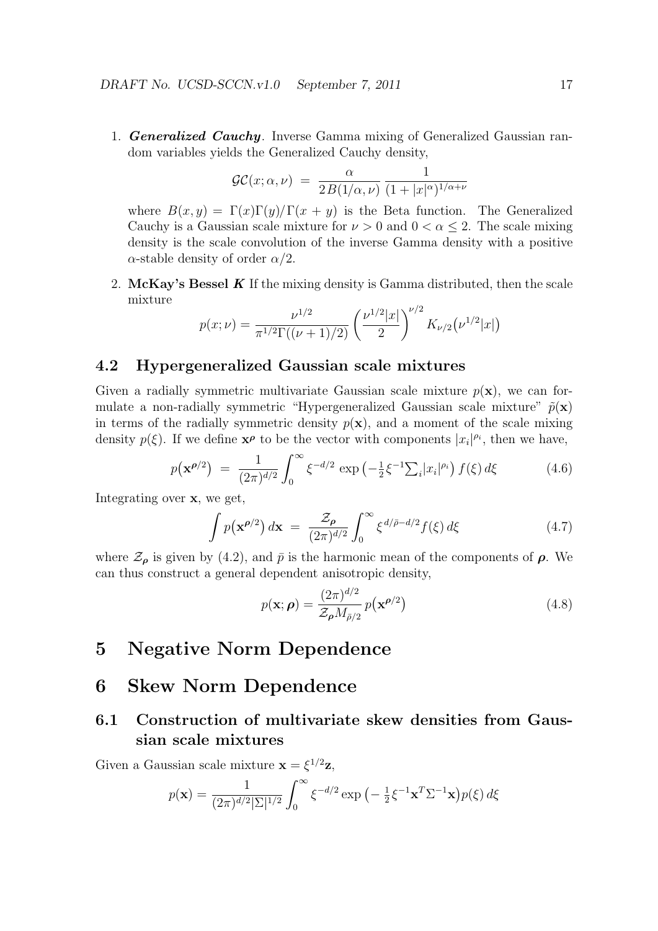1. *Generalized Cauchy*. Inverse Gamma mixing of Generalized Gaussian random variables yields the Generalized Cauchy density,

$$
\mathcal{GC}(x;\alpha,\nu) = \frac{\alpha}{2B(1/\alpha,\nu)} \frac{1}{(1+|x|^{\alpha})^{1/\alpha+\nu}}
$$

where  $B(x, y) = \Gamma(x)\Gamma(y)/\Gamma(x + y)$  is the Beta function. The Generalized Cauchy is a Gaussian scale mixture for  $\nu > 0$  and  $0 < \alpha < 2$ . The scale mixing density is the scale convolution of the inverse Gamma density with a positive *α*-stable density of order *α/*2.

2. **McKay's Bessel** *K* If the mixing density is Gamma distributed, then the scale mixture

$$
p(x; \nu) = \frac{\nu^{1/2}}{\pi^{1/2} \Gamma((\nu + 1)/2)} \left(\frac{\nu^{1/2} |x|}{2}\right)^{\nu/2} K_{\nu/2}(\nu^{1/2} |x|)
$$

### **4.2 Hypergeneralized Gaussian scale mixtures**

Given a radially symmetric multivariate Gaussian scale mixture  $p(\mathbf{x})$ , we can formulate a non-radially symmetric "Hypergeneralized Gaussian scale mixture"  $\tilde{p}(\mathbf{x})$ in terms of the radially symmetric density  $p(x)$ , and a moment of the scale mixing density  $p(\xi)$ . If we define  $\mathbf{x}^{\rho}$  to be the vector with components  $|x_i|^{\rho_i}$ , then we have,

$$
p(\mathbf{x}^{\rho/2}) = \frac{1}{(2\pi)^{d/2}} \int_0^\infty \xi^{-d/2} \exp\left(-\frac{1}{2}\xi^{-1} \sum_i |x_i|^{\rho_i}\right) f(\xi) d\xi \tag{4.6}
$$

Integrating over **x**, we get,

$$
\int p(\mathbf{x}^{\rho/2}) d\mathbf{x} = \frac{\mathcal{Z}_{\rho}}{(2\pi)^{d/2}} \int_0^{\infty} \xi^{d/\bar{\rho} - d/2} f(\xi) d\xi
$$
\n(4.7)

where  $\mathcal{Z}_{\rho}$  is given by (4.2), and  $\bar{p}$  is the harmonic mean of the components of  $\rho$ . We can thus construct a general dependent anisotropic density,

$$
p(\mathbf{x}; \boldsymbol{\rho}) = \frac{(2\pi)^{d/2}}{\mathcal{Z}_{\boldsymbol{\rho}} M_{\bar{\boldsymbol{\rho}}/2}} p(\mathbf{x}^{\boldsymbol{\rho}/2})
$$
(4.8)

# **5 Negative Norm Dependence**

# **6 Skew Norm Dependence**

# **6.1 Construction of multivariate skew densities from Gaussian scale mixtures**

Given a Gaussian scale mixture  $\mathbf{x} = \xi^{1/2} \mathbf{z}$ ,

$$
p(\mathbf{x}) = \frac{1}{(2\pi)^{d/2} |\Sigma|^{1/2}} \int_0^\infty \xi^{-d/2} \exp\left(-\frac{1}{2}\xi^{-1}\mathbf{x}^T \Sigma^{-1}\mathbf{x}\right) p(\xi) d\xi
$$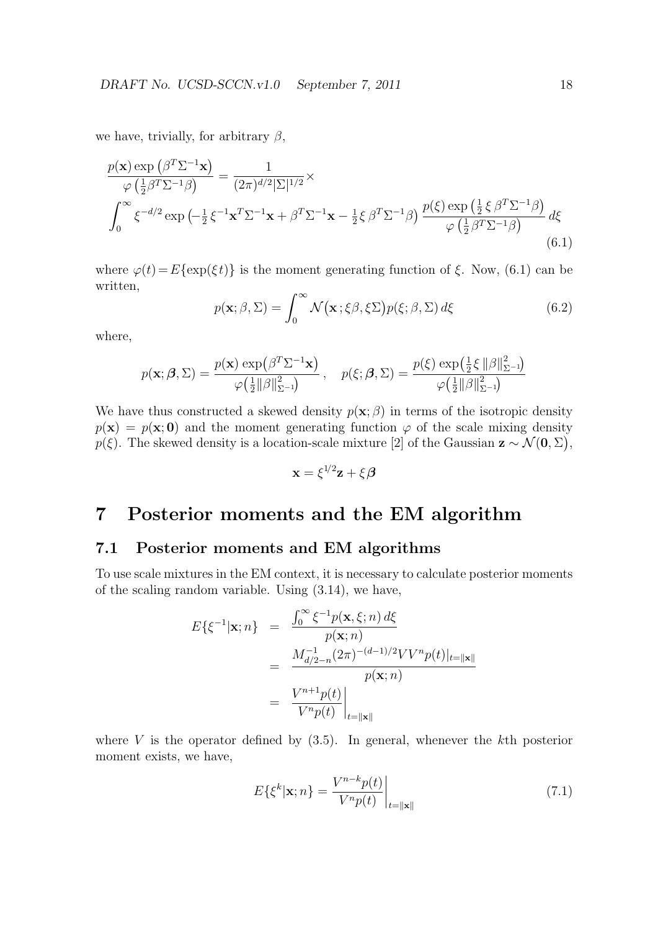we have, trivially, for arbitrary *β*,

$$
\frac{p(\mathbf{x}) \exp\left(\beta^T \Sigma^{-1} \mathbf{x}\right)}{\varphi\left(\frac{1}{2}\beta^T \Sigma^{-1}\beta\right)} = \frac{1}{(2\pi)^{d/2}|\Sigma|^{1/2}} \times
$$
\n
$$
\int_0^\infty \xi^{-d/2} \exp\left(-\frac{1}{2}\xi^{-1} \mathbf{x}^T \Sigma^{-1} \mathbf{x} + \beta^T \Sigma^{-1} \mathbf{x} - \frac{1}{2}\xi \beta^T \Sigma^{-1}\beta\right) \frac{p(\xi) \exp\left(\frac{1}{2}\xi \beta^T \Sigma^{-1}\beta\right)}{\varphi\left(\frac{1}{2}\beta^T \Sigma^{-1}\beta\right)} d\xi
$$
\n(6.1)

where  $\varphi(t) = E\{\exp(\xi t)\}\$ is the moment generating function of  $\xi$ . Now, (6.1) can be written,

$$
p(\mathbf{x}; \beta, \Sigma) = \int_0^\infty \mathcal{N}(\mathbf{x}; \xi\beta, \xi\Sigma) p(\xi; \beta, \Sigma) d\xi
$$
 (6.2)

where,

$$
p(\mathbf{x}; \boldsymbol{\beta}, \boldsymbol{\Sigma}) = \frac{p(\mathbf{x}) \exp(\beta^T \boldsymbol{\Sigma}^{-1} \mathbf{x})}{\varphi(\frac{1}{2} ||\beta||_{\boldsymbol{\Sigma}^{-1}}^2)}, \quad p(\xi; \boldsymbol{\beta}, \boldsymbol{\Sigma}) = \frac{p(\xi) \exp(\frac{1}{2} \xi ||\beta||_{\boldsymbol{\Sigma}^{-1}}^2)}{\varphi(\frac{1}{2} ||\beta||_{\boldsymbol{\Sigma}^{-1}}^2)}
$$

We have thus constructed a skewed density  $p(\mathbf{x}; \beta)$  in terms of the isotropic density  $p(\mathbf{x}) = p(\mathbf{x}; \mathbf{0})$  and the moment generating function  $\varphi$  of the scale mixing density  $p(\xi)$ . The skewed density is a location-scale mixture [2] of the Gaussian  $\mathbf{z} \sim \mathcal{N}(\mathbf{0}, \Sigma)$ ,

$$
\mathbf{x} = \xi^{1/2} \mathbf{z} + \xi \boldsymbol{\beta}
$$

# **7 Posterior moments and the EM algorithm**

### **7.1 Posterior moments and EM algorithms**

To use scale mixtures in the EM context, it is necessary to calculate posterior moments of the scaling random variable. Using (3.14), we have,

$$
E\{\xi^{-1}|\mathbf{x};n\} = \frac{\int_0^\infty \xi^{-1}p(\mathbf{x},\xi;n)\,d\xi}{p(\mathbf{x};n)}
$$
  

$$
= \frac{M_{d/2-n}^{-1}(2\pi)^{-(d-1)/2}VV^n p(t)|_{t=\|\mathbf{x}\|}}{p(\mathbf{x};n)}
$$
  

$$
= \frac{V^{n+1}p(t)}{V^n p(t)}\Big|_{t=\|\mathbf{x}\|}
$$

where *V* is the operator defined by (3.5). In general, whenever the *k*th posterior moment exists, we have,

$$
E\{\xi^k|\mathbf{x};n\} = \frac{V^{n-k}p(t)}{V^n p(t)}\bigg|_{t=\|\mathbf{x}\|}\tag{7.1}
$$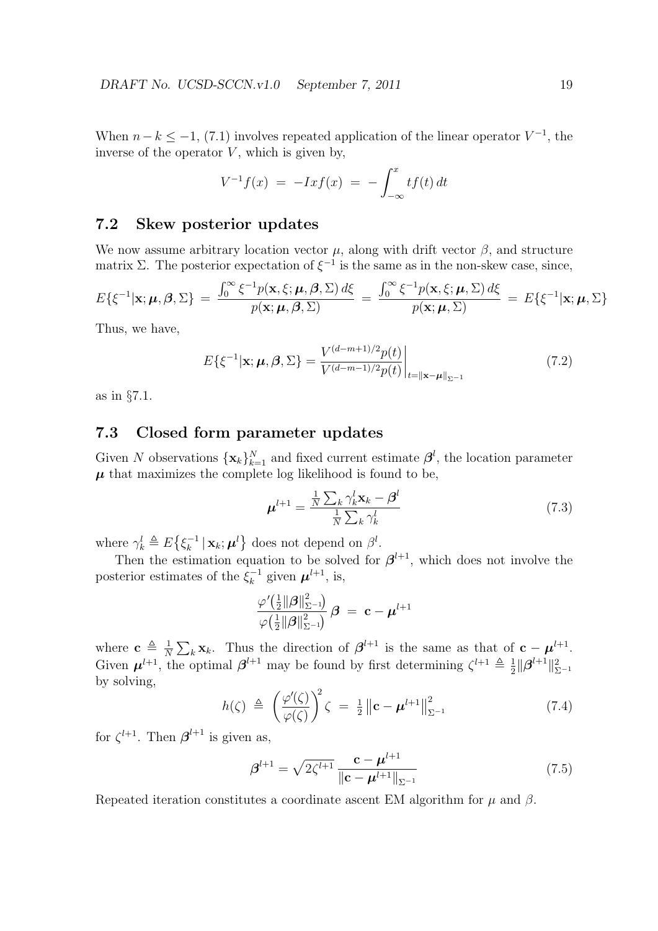When  $n-k \leq -1$ , (7.1) involves repeated application of the linear operator  $V^{-1}$ , the inverse of the operator  $V$ , which is given by,

$$
V^{-1}f(x) = -Ix f(x) = -\int_{-\infty}^{x} t f(t) dt
$$

## **7.2 Skew posterior updates**

We now assume arbitrary location vector  $\mu$ , along with drift vector  $\beta$ , and structure matrix  $\Sigma$ . The posterior expectation of  $\xi^{-1}$  is the same as in the non-skew case, since,

$$
E\{\xi^{-1}|\mathbf{x};\boldsymbol{\mu},\boldsymbol{\beta},\boldsymbol{\Sigma}\} = \frac{\int_0^\infty \xi^{-1}p(\mathbf{x},\xi;\boldsymbol{\mu},\boldsymbol{\beta},\boldsymbol{\Sigma})\,d\xi}{p(\mathbf{x};\boldsymbol{\mu},\boldsymbol{\beta},\boldsymbol{\Sigma})} = \frac{\int_0^\infty \xi^{-1}p(\mathbf{x},\xi;\boldsymbol{\mu},\boldsymbol{\Sigma})\,d\xi}{p(\mathbf{x};\boldsymbol{\mu},\boldsymbol{\Sigma})} = E\{\xi^{-1}|\mathbf{x};\boldsymbol{\mu},\boldsymbol{\Sigma}\}
$$

Thus, we have,

$$
E\{\xi^{-1}|\mathbf{x};\boldsymbol{\mu},\boldsymbol{\beta},\Sigma\} = \frac{V^{(d-m+1)/2}p(t)}{V^{(d-m-1)/2}p(t)}\bigg|_{t=\|\mathbf{x}-\boldsymbol{\mu}\|_{\Sigma^{-1}}}
$$
(7.2)

as in *§*7.1.

### **7.3 Closed form parameter updates**

Given *N* observations  $\{\mathbf{x}_k\}_{k=1}^N$  and fixed current estimate  $\boldsymbol{\beta}^l$ , the location parameter  $\mu$  that maximizes the complete log likelihood is found to be,

$$
\boldsymbol{\mu}^{l+1} = \frac{\frac{1}{N} \sum_{k} \gamma_k^l \mathbf{x}_k - \boldsymbol{\beta}^l}{\frac{1}{N} \sum_{k} \gamma_k^l}
$$
(7.3)

where  $\gamma_k^l \triangleq E\left\{\xi_k^{-1} \,|\, \mathbf{x}_k; \boldsymbol{\mu}^l\right\}$  does not depend on  $\beta^l$ .

Then the estimation equation to be solved for  $\beta^{l+1}$ , which does not involve the posterior estimates of the  $\xi_k^{-1}$  given  $\mu^{l+1}$ , is,

$$
\frac{\varphi^\prime\!\big(\frac{1}{2}\|\boldsymbol{\beta}\|_{\Sigma^{-1}}^2\big)}{\varphi\!\left(\frac{1}{2}\|\boldsymbol{\beta}\|_{\Sigma^{-1}}^2\right)}\,\boldsymbol{\beta}\ =\ \mathbf{c}-\boldsymbol{\mu}^{l+1}
$$

where  $\mathbf{c} \triangleq \frac{1}{\lambda}$  $\frac{1}{N} \sum_{k} \mathbf{x}_k$ . Thus the direction of  $\boldsymbol{\beta}^{l+1}$  is the same as that of  $\mathbf{c} - \boldsymbol{\mu}^{l+1}$ . Given  $\mu^{l+1}$ , the optimal  $\beta^{l+1}$  may be found by first determining  $\zeta^{l+1} \triangleq \frac{1}{2}$  $\frac{1}{2}$  $\|\boldsymbol{\beta}^{l+1}\|_{\Sigma^{-1}}^2$ by solving,

$$
h(\zeta) \triangleq \left(\frac{\varphi'(\zeta)}{\varphi(\zeta)}\right)^2 \zeta = \frac{1}{2} \left\| \mathbf{c} - \boldsymbol{\mu}^{l+1} \right\|_{\Sigma^{-1}}^2 \tag{7.4}
$$

for  $\zeta^{l+1}$ . Then  $\boldsymbol{\beta}^{l+1}$  is given as,

$$
\beta^{l+1} = \sqrt{2\zeta^{l+1}} \frac{\mathbf{c} - \boldsymbol{\mu}^{l+1}}{\|\mathbf{c} - \boldsymbol{\mu}^{l+1}\|_{\Sigma^{-1}}} \tag{7.5}
$$

Repeated iteration constitutes a coordinate ascent EM algorithm for  $\mu$  and  $\beta$ .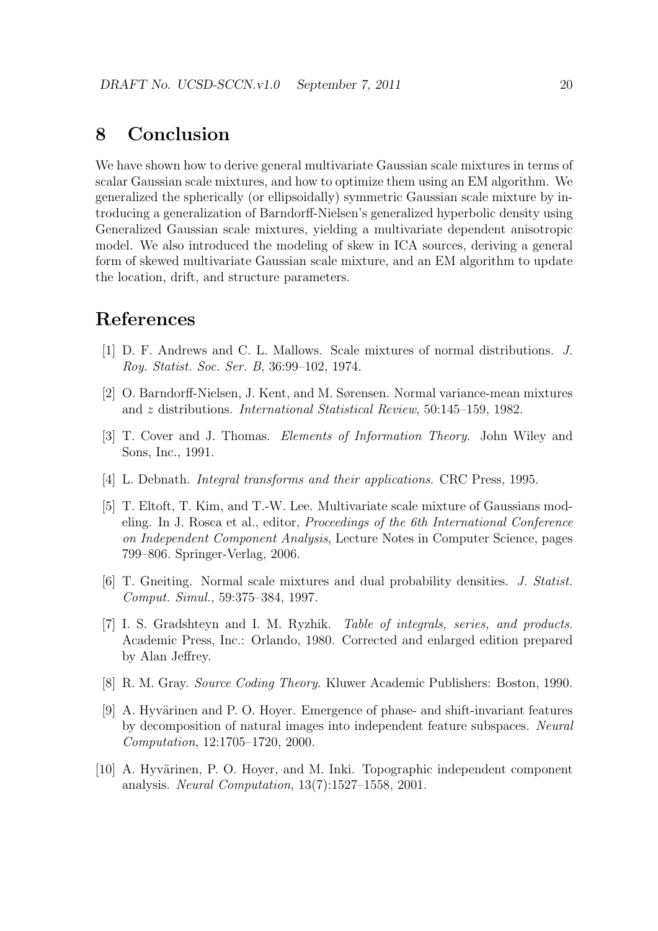# **8 Conclusion**

We have shown how to derive general multivariate Gaussian scale mixtures in terms of scalar Gaussian scale mixtures, and how to optimize them using an EM algorithm. We generalized the spherically (or ellipsoidally) symmetric Gaussian scale mixture by introducing a generalization of Barndorff-Nielsen's generalized hyperbolic density using Generalized Gaussian scale mixtures, yielding a multivariate dependent anisotropic model. We also introduced the modeling of skew in ICA sources, deriving a general form of skewed multivariate Gaussian scale mixture, and an EM algorithm to update the location, drift, and structure parameters.

# **References**

- [1] D. F. Andrews and C. L. Mallows. Scale mixtures of normal distributions. *J. Roy. Statist. Soc. Ser. B*, 36:99–102, 1974.
- [2] O. Barndorff-Nielsen, J. Kent, and M. Sørensen. Normal variance-mean mixtures and *z* distributions. *International Statistical Review*, 50:145–159, 1982.
- [3] T. Cover and J. Thomas. *Elements of Information Theory*. John Wiley and Sons, Inc., 1991.
- [4] L. Debnath. *Integral transforms and their applications*. CRC Press, 1995.
- [5] T. Eltoft, T. Kim, and T.-W. Lee. Multivariate scale mixture of Gaussians modeling. In J. Rosca et al., editor, *Proceedings of the 6th International Conference on Independent Component Analysis*, Lecture Notes in Computer Science, pages 799–806. Springer-Verlag, 2006.
- [6] T. Gneiting. Normal scale mixtures and dual probability densities. *J. Statist. Comput. Simul.*, 59:375–384, 1997.
- [7] I. S. Gradshteyn and I. M. Ryzhik. *Table of integrals, series, and products*. Academic Press, Inc.: Orlando, 1980. Corrected and enlarged edition prepared by Alan Jeffrey.
- [8] R. M. Gray. *Source Coding Theory*. Kluwer Academic Publishers: Boston, 1990.
- [9] A. Hyvärinen and P. O. Hoyer. Emergence of phase- and shift-invariant features by decomposition of natural images into independent feature subspaces. *Neural Computation*, 12:1705–1720, 2000.
- [10] A. Hyvärinen, P. O. Hoyer, and M. Inki. Topographic independent component analysis. *Neural Computation*, 13(7):1527–1558, 2001.